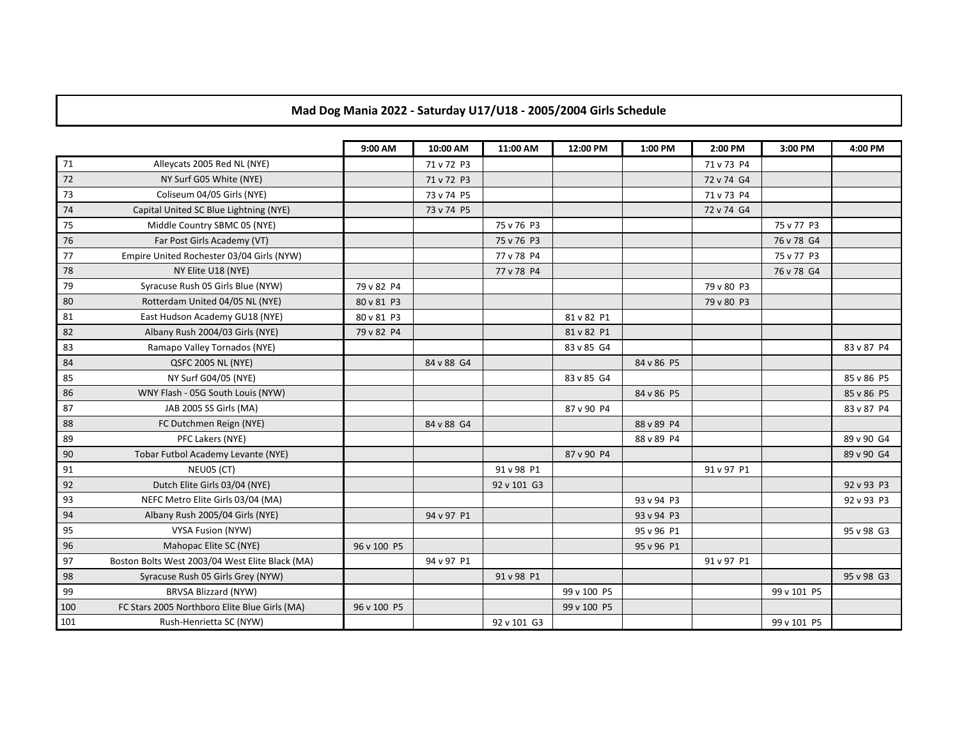## **Mad Dog Mania 2022 - Saturday U17/U18 - 2005/2004 Girls Schedule**

|     |                                                 | 9:00 AM     | 10:00 AM   | 11:00 AM    | 12:00 PM    | 1:00 PM    | 2:00 PM    | 3:00 PM     | 4:00 PM    |
|-----|-------------------------------------------------|-------------|------------|-------------|-------------|------------|------------|-------------|------------|
| 71  | Alleycats 2005 Red NL (NYE)                     |             | 71 v 72 P3 |             |             |            | 71 v 73 P4 |             |            |
| 72  | NY Surf G05 White (NYE)                         |             | 71 v 72 P3 |             |             |            | 72 v 74 G4 |             |            |
| 73  | Coliseum 04/05 Girls (NYE)                      |             | 73 v 74 P5 |             |             |            | 71 v 73 P4 |             |            |
| 74  | Capital United SC Blue Lightning (NYE)          |             | 73 v 74 P5 |             |             |            | 72 v 74 G4 |             |            |
| 75  | Middle Country SBMC 05 (NYE)                    |             |            | 75 v 76 P3  |             |            |            | 75 v 77 P3  |            |
| 76  | Far Post Girls Academy (VT)                     |             |            | 75 v 76 P3  |             |            |            | 76 v 78 G4  |            |
| 77  | Empire United Rochester 03/04 Girls (NYW)       |             |            | 77 v 78 P4  |             |            |            | 75 v 77 P3  |            |
| 78  | NY Elite U18 (NYE)                              |             |            | 77 v 78 P4  |             |            |            | 76 v 78 G4  |            |
| 79  | Syracuse Rush 05 Girls Blue (NYW)               | 79 v 82 P4  |            |             |             |            | 79 v 80 P3 |             |            |
| 80  | Rotterdam United 04/05 NL (NYE)                 | 80 v 81 P3  |            |             |             |            | 79 v 80 P3 |             |            |
| 81  | East Hudson Academy GU18 (NYE)                  | 80 v 81 P3  |            |             | 81 v 82 P1  |            |            |             |            |
| 82  | Albany Rush 2004/03 Girls (NYE)                 | 79 v 82 P4  |            |             | 81 v 82 P1  |            |            |             |            |
| 83  | Ramapo Valley Tornados (NYE)                    |             |            |             | 83 v 85 G4  |            |            |             | 83 v 87 P4 |
| 84  | QSFC 2005 NL (NYE)                              |             | 84 v 88 G4 |             |             | 84 v 86 P5 |            |             |            |
| 85  | NY Surf G04/05 (NYE)                            |             |            |             | 83 v 85 G4  |            |            |             | 85 v 86 P5 |
| 86  | WNY Flash - 05G South Louis (NYW)               |             |            |             |             | 84 v 86 P5 |            |             | 85 v 86 P5 |
| 87  | JAB 2005 SS Girls (MA)                          |             |            |             | 87 v 90 P4  |            |            |             | 83 v 87 P4 |
| 88  | FC Dutchmen Reign (NYE)                         |             | 84 v 88 G4 |             |             | 88 v 89 P4 |            |             |            |
| 89  | PFC Lakers (NYE)                                |             |            |             |             | 88 v 89 P4 |            |             | 89 v 90 G4 |
| 90  | Tobar Futbol Academy Levante (NYE)              |             |            |             | 87 v 90 P4  |            |            |             | 89 v 90 G4 |
| 91  | NEU05 (CT)                                      |             |            | 91 v 98 P1  |             |            | 91 v 97 P1 |             |            |
| 92  | Dutch Elite Girls 03/04 (NYE)                   |             |            | 92 v 101 G3 |             |            |            |             | 92 v 93 P3 |
| 93  | NEFC Metro Elite Girls 03/04 (MA)               |             |            |             |             | 93 v 94 P3 |            |             | 92 v 93 P3 |
| 94  | Albany Rush 2005/04 Girls (NYE)                 |             | 94 v 97 P1 |             |             | 93 v 94 P3 |            |             |            |
| 95  | VYSA Fusion (NYW)                               |             |            |             |             | 95 v 96 P1 |            |             | 95 v 98 G3 |
| 96  | Mahopac Elite SC (NYE)                          | 96 v 100 P5 |            |             |             | 95 v 96 P1 |            |             |            |
| 97  | Boston Bolts West 2003/04 West Elite Black (MA) |             | 94 v 97 P1 |             |             |            | 91 v 97 P1 |             |            |
| 98  | Syracuse Rush 05 Girls Grey (NYW)               |             |            | 91 v 98 P1  |             |            |            |             | 95 v 98 G3 |
| 99  | <b>BRVSA Blizzard (NYW)</b>                     |             |            |             | 99 v 100 P5 |            |            | 99 v 101 P5 |            |
| 100 | FC Stars 2005 Northboro Elite Blue Girls (MA)   | 96 v 100 P5 |            |             | 99 v 100 P5 |            |            |             |            |
| 101 | Rush-Henrietta SC (NYW)                         |             |            | 92 v 101 G3 |             |            |            | 99 v 101 P5 |            |